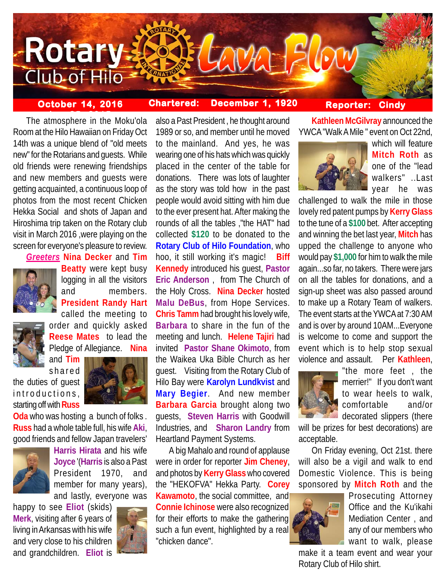

## **October 14, 2016 Chartered: December 1, 1920**

# **Reporter: Cindy**

**The atmosphere in the Moku'ola** Room at the Hilo Hawaiian on Friday Oct 14th was a unique blend of "old meets new" for the Rotarians and guests. While old friends were renewing friendships and new members and guests were getting acquainted, a continuous loop of photos from the most recent Chicken Hekka Social and shots of Japan and Hiroshima trip taken on the Rotary club visit in March 2016 ,were playing on the screen for everyone's pleasure to review.

*Greeters* **Nina Decker** and **Tim**



**Beatty** were kept busy logging in all the visitors and members. **President Randy Hart** called the meeting to



order and quickly asked **Reese Mates** to lead the Pledge of Allegiance. **Nina**

and **Tim** shared

the duties of guest introductions, starting off with **Russ**



**Oda** who was hosting a bunch of folks . **Russ** had a whole table full, his wife **Aki**, good friends and fellow Japan travelers'



**Harris Hirata** and his wife **Joyce** '(**Harris** is also a Past President 1970, and member for many years), and lastly, everyone was

happy to see **Eliot** (skids) **Merk**, visiting after 6 years of living in Arkansas with his wife and very close to his children and grandchildren. **Eliot** is



also a Past President , he thought around 1989 or so, and member until he moved to the mainland. And yes, he was wearing one of his hats which was quickly placed in the center of the table for donations. There was lots of laughter as the story was told how in the past people would avoid sitting with him due to the ever present hat. After making the rounds of all the tables ,"the HAT" had collected **\$120** to be donated to the **Rotary Club of Hilo Foundation**, who hoo, it still working it's magic! **Biff Kennedy** introduced his guest, **Pastor Eric Anderson** , from The Church of the Holy Cross. **Nina Decker** hosted **Malu DeBus**, from Hope Services. **Chris Tamm** had brought his lovely wife, **Barbara** to share in the fun of the meeting and lunch. **Helene Tajiri** had invited **Pastor Shane Okimoto**, from the Waikea Uka Bible Church as her guest. Visiting from the Rotary Club of Hilo Bay were **Karolyn Lundkvist** and **Mary Begier**. And new member **Barbara Garcia** brought along two guests, **Steven Harris** with Goodwill Industries, and **Sharon Landry** from Heartland Payment Systems.

A big Mahalo and round of applause were in order for reporter **Jim Cheney**, and photos by **Kerry Glass** who covered the "HEKOFVA" Hekka Party. **Corey Kawamoto**, the social committee, and **Connie Ichinose** were also recognized for their efforts to make the gathering such a fun event, highlighted by a real "chicken dance".

**Kathleen McGilvray** announced the YWCA "Walk A Mile " event on Oct 22nd,



which will feature **Mitch Roth** as one of the "lead walkers" ..Last year he was

challenged to walk the mile in those lovely red patent pumps by **Kerry Glass** to the tune of a **\$100** bet. After accepting and winning the bet last year, **Mitch** has upped the challenge to anyone who would pay **\$1,000** for him to walk the mile again...so far, no takers. There were jars on all the tables for donations, and a sign-up sheet was also passed around to make up a Rotary Team of walkers. The event starts at the YWCA at 7:30 AM and is over by around 10AM...Everyone is welcome to come and support the event which is to help stop sexual violence and assault. Per **Kathleen**,



"the more feet , the merrier!" If you don't want to wear heels to walk, comfortable and/or decorated slippers (there

will be prizes for best decorations) are acceptable.

On Friday evening, Oct 21st. there will also be a vigil and walk to end Domestic Violence. This is being sponsored by **Mitch Roth** and the



Prosecuting Attorney Office and the Ku'ikahi Mediation Center , and any of our members who want to walk, please

make it a team event and wear your Rotary Club of Hilo shirt.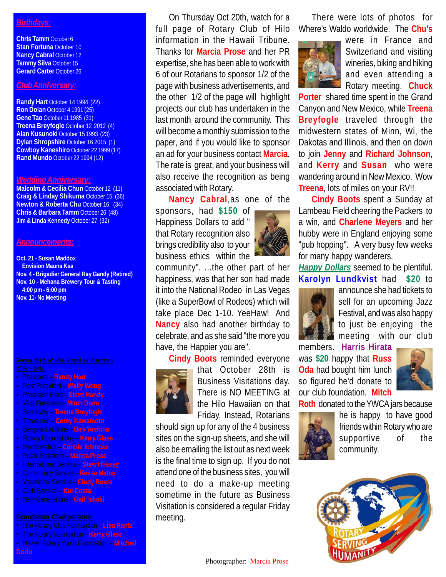### *Birthdays:*

**Chris Tamm** October 6 **Stan Fortuna** October 10 **Nancy Cabral October 12 Tammy Silva** October 15 **Gerard Carter** October 26

# *Club Anniversary:*

**Randy Hart** October 14 1994 (22) **Ron Dolan** October 4 1991 (25) **Gene Tao** October 11 1985 (31) **Treena Breyfogle** October 12 2012 (4) **Alan Kusunoki** October 15 1993 (23) **Dylan Shropshire** October 16 2015 (1) **Cowboy Kaneshiro** October 22 1999 (17) **Rand Mundo** October 22 1994 (12)

#### *Wedding Anniversary:*

**Malcolm & Cecilia Chun** October 12 (11) **Craig & Linday Shikuma** October 15 (36) **Newton & Roberta Chu** October 16 (34) **Chris & Barbara Tamm** October 26 (48) **Jim & Linda Kennedy** October 27 (32)

### *Announcements:*

**Oct. 21 - Susan Maddox Envision Mauna Kea Nov. 4 - Brigadier General Ray Gandy (Retired) Nov. 10 - Mehana Brewery Tour & Tasting 4:00 pm - 6:00 pm Nov. 11- No Meeting**

- President **Randy Hart**
- Past President **Wally Wong**
- President Elect **Steve Handy**
- Vice President **Mitch Dodo**
- Secretary **Treena Breyfogle**
- Treasurer **Corey Kawamoto**
- Sergeant at Arms **Dirk Yoshina**
- 
- Membership **Connie Ichinose**
- Public Relations **Marcia Prose**
- International Service **Stew Hussey** • Community Service – **Reese Mates**
- Vocational Service **Cindy Boots**
- Club Service **Kui Costa**
- New Generations **Gail Takaki**
- 

- Hilo Rotary Club Foundation **Lisa Rantz**
- The Rotary Foundation **Kerry Glass**
- Hawaii Rotary Youth Foundation **Mitchell**

On Thursday Oct 20th, watch for a full page of Rotary Club of Hilo information in the Hawaii Tribune. Thanks for **Marcia Prose** and her PR expertise, she has been able to work with 6 of our Rotarians to sponsor 1/2 of the page with business advertisements, and the other 1/2 of the page will highlight projects our club has undertaken in the last month around the community. This will become a monthly submission to the paper, and if you would like to sponsor an ad for your business contact **Marcia**. The rate is great, and your business will also receive the recognition as being associated with Rotary.

**Nancy Cabral**,as one of the

sponsors, had **\$150** of Happiness Dollars to add " that Rotary recognition also brings credibility also to your business ethics within the



community". ...the other part of her happiness, was that her son had made it into the National Rodeo in Las Vegas (like a SuperBowl of Rodeos) which will take place Dec 1-10. YeeHaw! And **Nancy** also had another birthday to celebrate, and as she said "the more you have, the Happier you are".

**Cindy Boots** reminded everyone that October 28th is Business Visitations day. There is NO MEETING at the Hilo Hawaiian on that Friday. Instead, Rotarians

should sign up for any of the 4 business sites on the sign-up sheets, and she will also be emailing the list out as next week is the final time to sign up. If you do not attend one of the business sites, you will need to do a make-up meeting sometime in the future as Business Visitation is considered a regular Friday meeting.

There were lots of photos for Where's Waldo worldwide. The **Chu's**



were in France and Switzerland and visiting wineries, biking and hiking and even attending a Rotary meeting. **Chuck**

**Porter** shared time spent in the Grand Canyon and New Mexico, while **Treena Breyfogle** traveled through the midwestern states of Minn, Wi, the Dakotas and Illinois, and then on down to join **Jenny** and **Richard Johnson**, and **Kerry** and **Susan** who were wandering around in New Mexico. Wow **Treena**, lots of miles on your RV!!

**Cindy Boots** spent a Sunday at Lambeau Field cheering the Packers to a win, and **Charlene Meyers** and her hubby were in England enjoying some "pub hopping". A very busy few weeks for many happy wanderers.

*Happy Dollars* seemed to be plentiful. **Karolyn Lundkvist** had **\$20** to



announce she had tickets to sell for an upcoming Jazz Festival, and was also happy to just be enjoying the meeting with our club

members. **Harris Hirata** was **\$20** happy that **Russ Oda** had bought him lunch so figured he'd donate to our club foundation. **Mitch**



**Roth** donated to the YWCA jars because



he is happy to have good friends within Rotary who are supportive of the community.